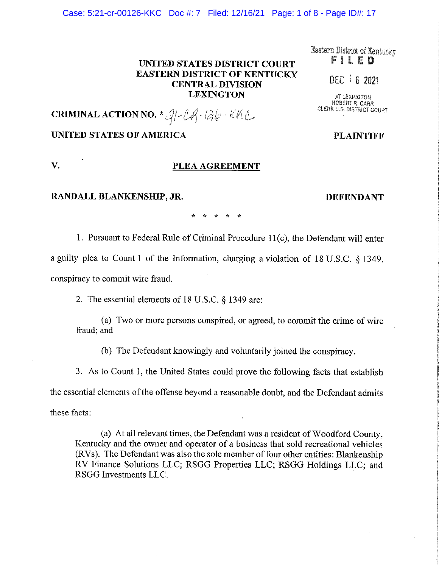### **UNITED STATES DISTRICT COURT EASTERN DISTRICT OF KENTUCKY CENTRAL DIVISION LEXINGTON**

# **CRIMINAL ACTION NO.**  $*\mathcal{A}/\mathcal{A}$ - $\mathcal{A}/\mathcal{A}$ - $\mathcal{A}/\mathcal{A}$ C

**V. PLEA AGREEMENT** 

### **UNITED STATES OF AMERICA**

### **RANDALL BLANKENSHIP, JR. DEFENDANT**

\* \* \* \* \*

1. Pursuant to Federal Rule of Criminal Procedure 11(c), the Defendant will enter a guilty plea to Count 1 of the Information, charging a violation of 18 U.S.C. § 1349, conspiracy to commit wire fraud.

2. The essential elements of 18 U.S.C. § 1349 are:

(a) Two or more persons conspired, or agreed, to commit the crime of wire fraud; and

(b) The Defendant knowingly and voluntarily joined the conspiracy.

3. As to Count 1, the United States could prove the following facts that establish

the essential elements of the offense beyond a reasonable doubt, and the Defendant admits

these facts:

(a) At all relevant times, the Defendant was a resident of Woodford County, Kentucky and the owner and operator of a business that sold recreational vehicles (RVs). The Defendant was also the sole member of four other entities: Blankenship RV Finance Solutions LLC; RSGG Properties LLC; RSGG Holdings LLC; and RSGG Investments LLC.

Case: 5:21-cr-00126-KKC Doc #: 7 Filed: 12/16/21 Page: 1 of 8 - Page ID#: 17

**PLAINTIFF** 

## DEC 16 2021 **AT LEXINGTON**

ROBERT *R.* CARR CLERK U.S. DISTRICT COURT

Eastern District of Kentucky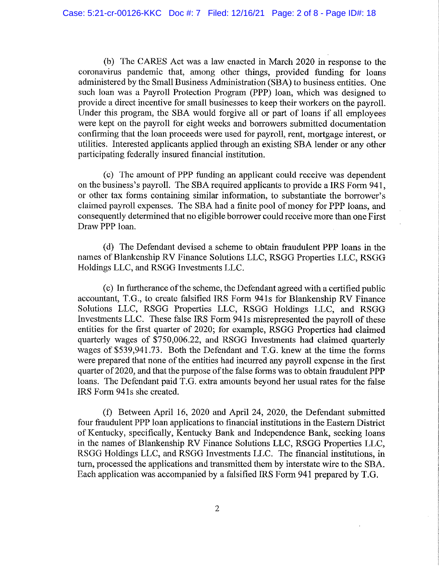(b) The CARES Act was a law enacted in March 2020 in response to the coronavirus pandemic that, among other things, provided funding for loans administered by the Small Business Administration (SBA) to business entities. One such loan was a Payroll Protection Program (PPP) loan, which was designed to provide a direct incentive for small businesses to keep their workers on the payroll. Under this program, the SBA would forgive all or part of loans if all employees were kept on the payroll for eight weeks and borrowers submitted documentation confirming that the loan proceeds were used for payroll, rent, mortgage interest, or utilities. Interested applicants applied through an existing SBA lender or any other participating federally insured financial institution.

(c) The amount of PPP funding an applicant could receive was dependent on the business's payroll. The SBA required applicants to provide a IRS Form 941, or other tax forms containing similar information, to substantiate the borrower's claimed payroll expenses. The SBA had a finite pool of money for PPP loans, and consequently determined that no eligible borrower could receive more than one First Draw PPP loan.

(d) The Defendant devised a scheme to obtain fraudulent PPP loans in the names of Blankenship RV Finance Solutions LLC, RSGG Properties LLC, RSGG Holdings LLC, and RSGG Investments LLC.

(e) In furtherance of the scheme, the Defendant agreed with a certified public accountant, T.G., to create falsified IRS Form 941s for Blankenship RV Finance Solutions LLC, RSGG Properties LLC, RSGG Holdings LLC, and RSGG Investments LLC. These false IRS Form 941s misrepresented the payroll of these entities for the first quarter of 2020; for example, RSGG Properties had claimed quarterly wages of \$750,006.22, and RSGG Investments had claimed quarterly wages of \$539,941.73. Both the Defendant and T.G. knew at the time the forms were prepared that none of the entities had incurred any payroll expense in the first quarter of 2020, and that the purpose of the false forms was to obtain fraudulent **PPP**  loans. The Defendant paid T.G. extra amounts beyond her usual rates for the false **IRS** Form 941s she created.

(f) Between April 16, 2020 and April 24, 2020, the Defendant submitted four fraudulent PPP loan applications to financial institutions in the Eastern District of Kentucky, specifically, Kentucky Bank and Independence Bank, seeking loans in the names of Blankenship RV Finance Solutions LLC, RSGG Properties LLC, RSGG Holdings LLC, and RSGG Investments LLC. The financial institutions, in turn, processed the applications and transmitted them by interstate wire to the SBA. Each application was accompanied by a falsified IRS Form 941 prepared by T.G.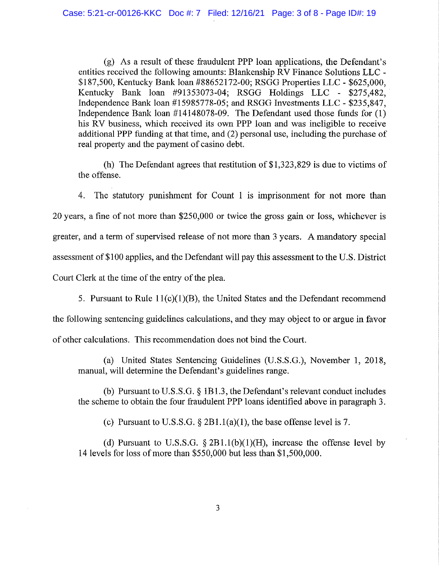(g) As a result of these fraudulent PPP loan applications, the Defendant's entities received the following amounts: Blankenship RV Finance Solutions LLC - \$187,500, Kentucky Bank loan #88652172-00; RSGG Properties LLC - \$625,000, Kentucky Bank loan #91353073-04; RSGG Holdings LLC - \$275,482, Independence Bank loan #15985778-05; and RSGG Investments LLC - \$235,847, Independence Bank loan #14148078-09. The Defendant used those funds for (1) his RV business, which received its own PPP loan and was ineligible to receive additional PPP funding at that time, and (2) personal use, including the purchase of real property and the payment of casino debt.

(h) The Defendant agrees that restitution of \$1,323,829 is due to victims of the offense.

4. The statutory punishment for Count 1 is imprisonment for not more than 20 years, a fine of not more than \$250,000 or twice the gross gain or loss, whichever is greater, and a term of supervised release of not more than 3 years. A mandatory special assessment of\$100 applies, and the Defendant will pay this assessment to the U.S. District Court Clerk at the time of the entry of the plea.

5. Pursuant to Rule  $11(c)(1)(B)$ , the United States and the Defendant recommend the following sentencing guidelines calculations, and they may object to or argue in favor of other calculations. This recommendation does not bind the Court.

(a) United States Sentencing Guidelines (U.S.S.G.), November 1, 2018, manual, will determine the Defendant's guidelines range.

(b) Pursuant to U.S.S.G.  $\S$  1B1.3, the Defendant's relevant conduct includes the scheme to obtain the four fraudulent PPP loans identified above in paragraph 3.

(c) Pursuant to U.S.S.G.  $\S 2B1.1(a)(1)$ , the base offense level is 7.

(d) Pursuant to U.S.S.G.  $\S 2B1.1(b)(1)(H)$ , increase the offense level by 14 levels for loss of more than \$550,000 but less than \$1,500,000.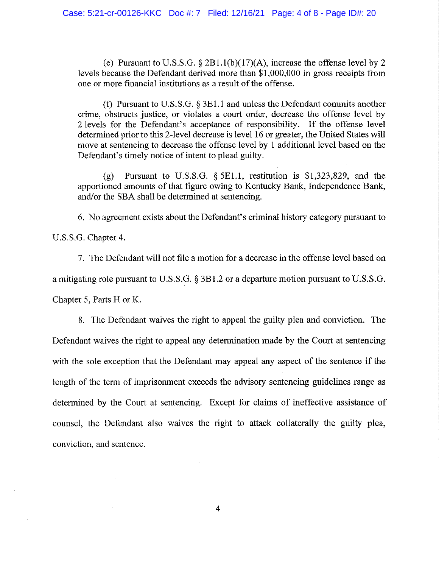(e) Pursuant to U.S.S.G.  $\S 2B1.1(b)(17)(A)$ , increase the offense level by 2 levels because the Defendant derived more than \$1,000,000 in gross receipts from one or more financial institutions as a result of the offense.

(f) Pursuant to U.S.S.G. § 3El .1 and unless the Defendant commits another crime, obstructs justice, or violates a court order, decrease the offense level by 2 levels for the Defendant's acceptance of responsibility. If the offense level determined prior to this 2-level decrease is level 16 or greater, the United States will move at sentencing to decrease the offense level by 1 additional level based on the Defendant's timely notice of intent to plead guilty.

(g) Pursuant to U.S.S.G. § 5El.1, restitution is \$1,323,829, and the apportioned amounts of that figure owing to Kentucky Bank, Independence Bank, and/or the SBA shall be determined at sentencing.

6. No agreement exists about the Defendant's criminal history category pursuant to

U.S.S.G. Chapter 4.

7. The Defendant will not file a motion for a decrease in the offense level based on a mitigating role pursuant to U.S.S.G. § 3Bl.2 or a departure motion pursuant to U.S.S.G.

Chapter 5, Parts  $H$  or K.

8. The Defendant waives the right to appeal the guilty plea and conviction. The Defendant waives the right to appeal any determination made by the Court at sentencing with the sole exception that the Defendant may appeal any aspect of the sentence if the length of the term of imprisonment exceeds the advisory sentencing guidelines range as determined by the Court at sentencing. Except for claims of ineffective assistance of counsel, the Defendant also waives the right to attack collaterally the guilty plea, conviction, and sentence.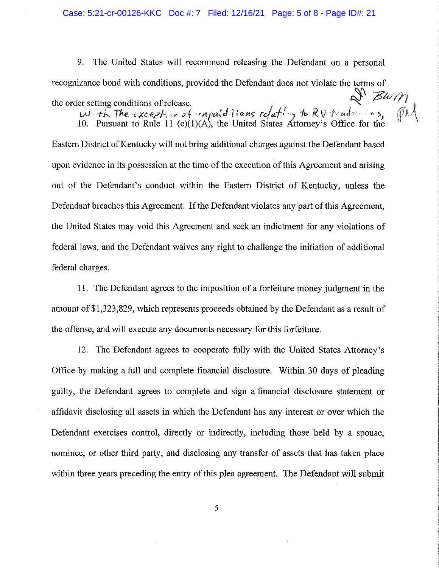9. The United States will recommend releasing the Defendant on a personal recognizance bond with conditions, provided the Defendant does not violate the terms of<br>the order setting conditions of release. the order setting conditions of release.<br>With The *exception* of *'nnpaid* liens relating to RV tradenins,

10. Pursuant to Rule 11 (c)(1)(A), the United States Attorney's Office for the

Eastern District of Kentucky will not bring additional charges against the Defendant based upon evidence in its possession at the time of the execution of this Agreement and arising out of the Defendant's conduct within the Eastern District of Kentucky, unless the Defendant breaches this Agreement. If the Defendant violates any part of this Agreement, the United States may void this Agreement and seek an indictment for any violations of federal laws, and the Defendant waives any right to challenge the initiation of additional federal charges.

11. The Defendant agrees to the imposition of a forfeiture money judgment in the amount of \$1,323,829, which represents proceeds obtained by the Defendant as a result of the offense, and will execute any documents necessary for this forfeiture.

12. The Defendant agrees to cooperate fully with the United States Attorney's Office by making a full and complete financial disclosure. Within 30 days of pleading guilty, the Defendant agrees to complete and sign a financial disclosure statement or affidavit disclosing all assets in which the Defendant has any interest or over which the Defendant exercises control, directly or indirectly, including those held by a spouse, nominee, or other third party, and disclosing any transfer of assets that has taken place within three years preceding the entry of this plea agreement. The Defendant will submit

5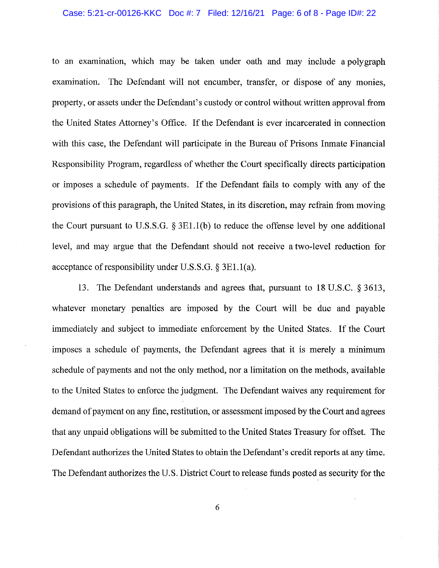#### Case: 5:21-cr-00126-KKC Doc #: 7 Filed: 12/16/21 Page: 6 of 8 - Page ID#: 22

to an examination, which may be taken under oath and may include a polygraph examination. The Defendant will not encumber, transfer, or dispose of any monies, property, or assets under the Defendant's custody or control without written approval from the United States Attorney's Office. If the Defendant is ever incarcerated in connection with this case, the Defendant will participate in the Bureau of Prisons Inmate Financial Responsibility Program, regardless of whether the Court specifically directs participation or imposes a schedule of payments. If the Defendant fails to comply with any of the provisions of this paragraph, the United States, in its discretion, may refrain from moving the Court pursuant to U.S.S.G. § 3El.l(b) to reduce the offense level by one additional level, and may argue that the Defendant should not receive a two-level reduction for acceptance of responsibility under U.S.S.G. § 3El.l(a).

13. The Defendant understands and agrees that, pursuant to 18 U.S.C. § 3613, whatever monetary penalties are imposed by the Court will be due and payable immediately and subject to immediate enforcement by the United States. If the Court imposes a schedule of payments, the Defendant agrees that it is merely a minimum schedule of payments and not the only method, nor a limitation on the methods, available to the United States to enforce the judgment. The Defendant waives any requirement for demand of payment on any fine, restitution, or assessment imposed by the Court and agrees that any unpaid obligations will be submitted to the United States Treasury for offset. The Defendant authorizes the United States to obtain the Defendant's credit reports at any time. The Defendant authorizes the U.S. District Court to release funds posted as security for the

6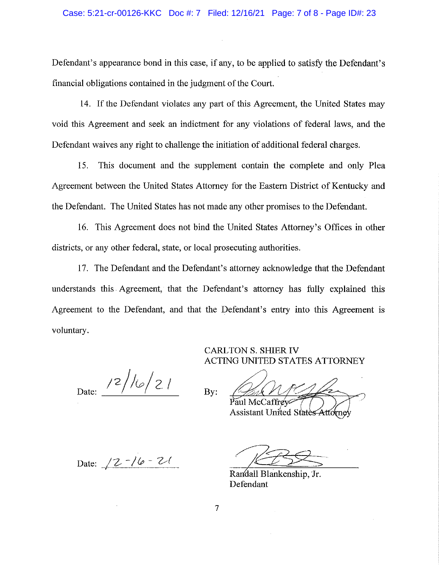Defendant's appearance bond in this case, if any, to be applied to satisfy the Defendant's financial obligations contained in the judgment of the Court.

14. If the Defendant violates any part of this Agreement, the United States may void this Agreement and seek an indictment for any violations of federal laws, and the Defendant waives any right to challenge the initiation of additional federal charges.

15. This document and the supplement contain the complete and only Plea Agreement between the United States Attorney for the Eastern District of Kentucky and the Defendant. The United States has not made any other promises to the Defendant.

16. This Agreement does not bind the United States Attorney's Offices in other districts, or any other federal, state, or local prosecuting authorities.

17. The Defendant and the Defendant's attorney acknowledge that the Defendant understands this Agreement, that the Defendant's attorney has fully explained this Agreement to the Defendant, and that the Defendant's entry into this Agreement is voluntary.

By:

Date:  $\frac{12}{\log 21}$ 

ACTING UNITED STATES ATTORNEY

CARL TON S. SHIER IV

Paul McCaffrey  $\sqrt{2}$ 

Assistant United States

Date: <u>/2 -/6 - 2/</u>

aul McCaffrey<br>
ssistant United States Attorney

Randall Blankenship, Jr. Defendant